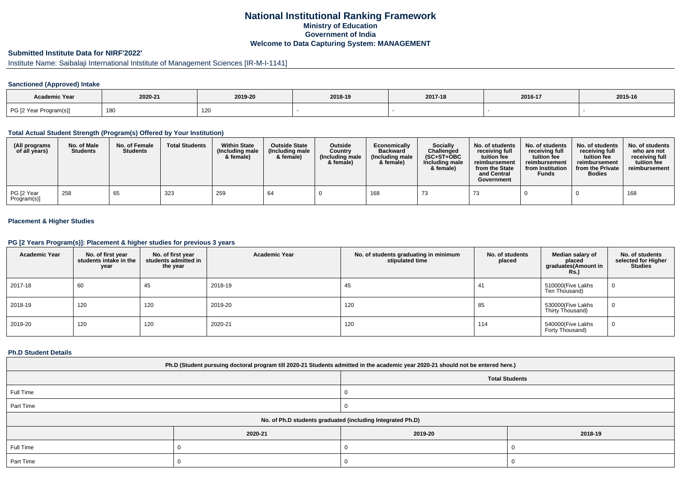# **National Institutional Ranking FrameworkMinistry of Education Government of IndiaWelcome to Data Capturing System: MANAGEMENT**

# **Submitted Institute Data for NIRF'2022'**

# Institute Name: Saibalaji International Intstitute of Management Sciences [IR-M-I-1141]

## **Sanctioned (Approved) Intake**

| Academic Year          |         |         |         |         |         |         |
|------------------------|---------|---------|---------|---------|---------|---------|
|                        | 2020-21 | 2019-20 | 2018-19 | 2017-18 | 2016-17 | 2015-16 |
| PG [2 Year Program(s)] | 180     | 120     |         |         |         |         |

### **Total Actual Student Strength (Program(s) Offered by Your Institution)**

| (All programs<br>of all years) | No. of Male<br><b>Students</b> | No. of Female<br><b>Students</b> | <b>Total Students</b> | <b>Within State</b><br>(Including male<br>& female) | <b>Outside State</b><br>(Including male<br>& female) | <b>Outside</b><br>Country<br>(Including male<br>& female) | Economically<br><b>Backward</b><br>(Including male<br>& female) | <b>Socially</b><br>Challenged<br>$(SC+ST+OBC$<br>Including male<br>& female) | No. of students<br>receiving full<br>tuition fee<br>reimbursement<br>from the State<br>and Central<br>Government | No. of students<br>receiving full<br>tuition fee<br>reimbursement<br>from Institution<br><b>Funds</b> | No. of students<br>receiving full<br>tuition fee<br>reimbursement<br>from the Private<br><b>Bodies</b> | No. of students<br>who are not<br>receiving full<br>tuition fee<br>reimbursement |
|--------------------------------|--------------------------------|----------------------------------|-----------------------|-----------------------------------------------------|------------------------------------------------------|-----------------------------------------------------------|-----------------------------------------------------------------|------------------------------------------------------------------------------|------------------------------------------------------------------------------------------------------------------|-------------------------------------------------------------------------------------------------------|--------------------------------------------------------------------------------------------------------|----------------------------------------------------------------------------------|
| PG [2 Year<br>Program(s)]      | 258                            | 65                               | 323                   | 259                                                 | 64                                                   |                                                           | 168                                                             |                                                                              |                                                                                                                  |                                                                                                       |                                                                                                        | 168                                                                              |

## **Placement & Higher Studies**

### **PG [2 Years Program(s)]: Placement & higher studies for previous 3 years**

| <b>Academic Year</b> | No. of first year<br>students intake in the<br>year | No. of first vear<br>students admitted in<br>the year | <b>Academic Year</b> | No. of students graduating in minimum<br>stipulated time | No. of students<br>placed | Median salary of<br>placed<br>graduates(Amount in<br><b>Rs.)</b> | No. of students<br>selected for Higher<br><b>Studies</b> |
|----------------------|-----------------------------------------------------|-------------------------------------------------------|----------------------|----------------------------------------------------------|---------------------------|------------------------------------------------------------------|----------------------------------------------------------|
| 2017-18              | 60                                                  | 45                                                    | 2018-19              | 45                                                       | 41                        | 510000(Five Lakhs<br>Ten Thousand)                               | 0                                                        |
| 2018-19              | 120                                                 | 120                                                   | 2019-20              | 120                                                      | 85                        | 530000(Five Lakhs<br>Thirty Thousand)                            | 0                                                        |
| 2019-20              | 120                                                 | 120                                                   | 2020-21              | 120                                                      | 114                       | 540000(Five Lakhs<br>Forty Thousand)                             | 0                                                        |

### **Ph.D Student Details**

| Ph.D (Student pursuing doctoral program till 2020-21 Students admitted in the academic year 2020-21 should not be entered here.) |         |                       |         |  |  |  |  |
|----------------------------------------------------------------------------------------------------------------------------------|---------|-----------------------|---------|--|--|--|--|
|                                                                                                                                  |         | <b>Total Students</b> |         |  |  |  |  |
| Full Time                                                                                                                        |         |                       |         |  |  |  |  |
| Part Time                                                                                                                        |         |                       |         |  |  |  |  |
| No. of Ph.D students graduated (including Integrated Ph.D)                                                                       |         |                       |         |  |  |  |  |
|                                                                                                                                  | 2020-21 | 2019-20               | 2018-19 |  |  |  |  |
| Full Time                                                                                                                        |         |                       |         |  |  |  |  |
| Part Time                                                                                                                        |         |                       |         |  |  |  |  |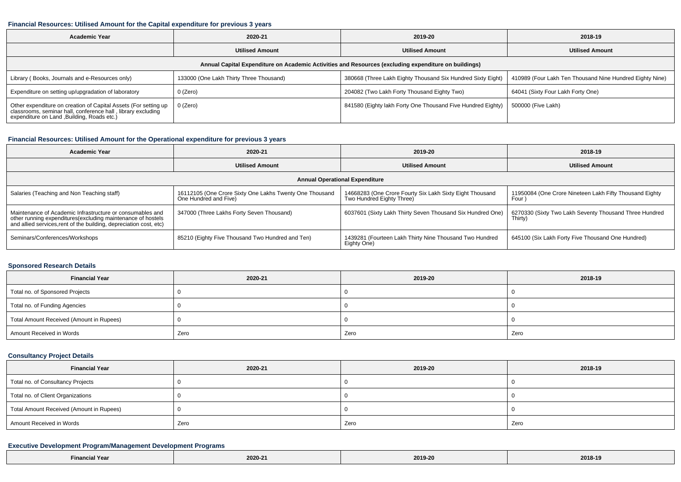#### **Financial Resources: Utilised Amount for the Capital expenditure for previous 3 years**

| <b>Academic Year</b>                                                                                                                                                    | 2020-21                                 | 2019-20                                                     | 2018-19                                                  |  |  |  |  |  |  |
|-------------------------------------------------------------------------------------------------------------------------------------------------------------------------|-----------------------------------------|-------------------------------------------------------------|----------------------------------------------------------|--|--|--|--|--|--|
|                                                                                                                                                                         | <b>Utilised Amount</b>                  | <b>Utilised Amount</b>                                      | <b>Utilised Amount</b>                                   |  |  |  |  |  |  |
| Annual Capital Expenditure on Academic Activities and Resources (excluding expenditure on buildings)                                                                    |                                         |                                                             |                                                          |  |  |  |  |  |  |
| Library (Books, Journals and e-Resources only)                                                                                                                          | 133000 (One Lakh Thirty Three Thousand) | 380668 (Three Lakh Eighty Thousand Six Hundred Sixty Eight) | 410989 (Four Lakh Ten Thousand Nine Hundred Eighty Nine) |  |  |  |  |  |  |
| Expenditure on setting up/upgradation of laboratory                                                                                                                     | 0 (Zero)                                | 204082 (Two Lakh Forty Thousand Eighty Two)                 | 64041 (Sixty Four Lakh Forty One)                        |  |  |  |  |  |  |
| Other expenditure on creation of Capital Assets (For setting up classrooms, seminar hall, conference hall, library excluding expenditure on Land ,Building, Roads etc.) | $0$ (Zero)                              | 841580 (Eighty lakh Forty One Thousand Five Hundred Eighty) | 500000 (Five Lakh)                                       |  |  |  |  |  |  |

## **Financial Resources: Utilised Amount for the Operational expenditure for previous 3 years**

| Academic Year                                                                                                                                                                                   | 2020-21                                                                          | 2019-20                                                                               | 2018-19                                                           |  |  |  |  |  |
|-------------------------------------------------------------------------------------------------------------------------------------------------------------------------------------------------|----------------------------------------------------------------------------------|---------------------------------------------------------------------------------------|-------------------------------------------------------------------|--|--|--|--|--|
|                                                                                                                                                                                                 | <b>Utilised Amount</b>                                                           | <b>Utilised Amount</b>                                                                | <b>Utilised Amount</b>                                            |  |  |  |  |  |
| <b>Annual Operational Expenditure</b>                                                                                                                                                           |                                                                                  |                                                                                       |                                                                   |  |  |  |  |  |
| Salaries (Teaching and Non Teaching staff)                                                                                                                                                      | 16112105 (One Crore Sixty One Lakhs Twenty One Thousand<br>One Hundred and Five) | 14668283 (One Crore Fourty Six Lakh Sixty Eight Thousand<br>Two Hundred Eighty Three) | 11950084 (One Crore Nineteen Lakh Fifty Thousand Eighty<br>Four   |  |  |  |  |  |
| Maintenance of Academic Infrastructure or consumables and<br>other running expenditures (excluding maintenance of hostels<br>and allied services, rent of the building, depreciation cost, etc) | 347000 (Three Lakhs Forty Seven Thousand)                                        | 6037601 (Sixty Lakh Thirty Seven Thousand Six Hundred One)                            | 6270330 (Sixty Two Lakh Seventy Thousand Three Hundred<br>Thirty) |  |  |  |  |  |
| Seminars/Conferences/Workshops                                                                                                                                                                  | 85210 (Eighty Five Thousand Two Hundred and Ten)                                 | 1439281 (Fourteen Lakh Thirty Nine Thousand Two Hundred<br>Eighty One)                | 645100 (Six Lakh Forty Five Thousand One Hundred)                 |  |  |  |  |  |

### **Sponsored Research Details**

| <b>Financial Year</b>                    | 2020-21 | 2019-20 | 2018-19 |
|------------------------------------------|---------|---------|---------|
| Total no. of Sponsored Projects          |         |         |         |
| Total no. of Funding Agencies            |         |         |         |
| Total Amount Received (Amount in Rupees) |         |         |         |
| Amount Received in Words                 | Zero    | Zero    | Zero    |

## **Consultancy Project Details**

| <b>Financial Year</b>                    | 2020-21 | 2019-20 | 2018-19 |  |
|------------------------------------------|---------|---------|---------|--|
| Total no. of Consultancy Projects        |         |         |         |  |
| Total no. of Client Organizations        |         |         |         |  |
| Total Amount Received (Amount in Rupees) |         |         |         |  |
| Amount Received in Words                 | Zero    | Zero    | Zero    |  |

## **Executive Development Program/Management Development Programs**

| $-$<br>Yea. | 2020-21 | 2019-20 | 2018-19 |
|-------------|---------|---------|---------|
|-------------|---------|---------|---------|